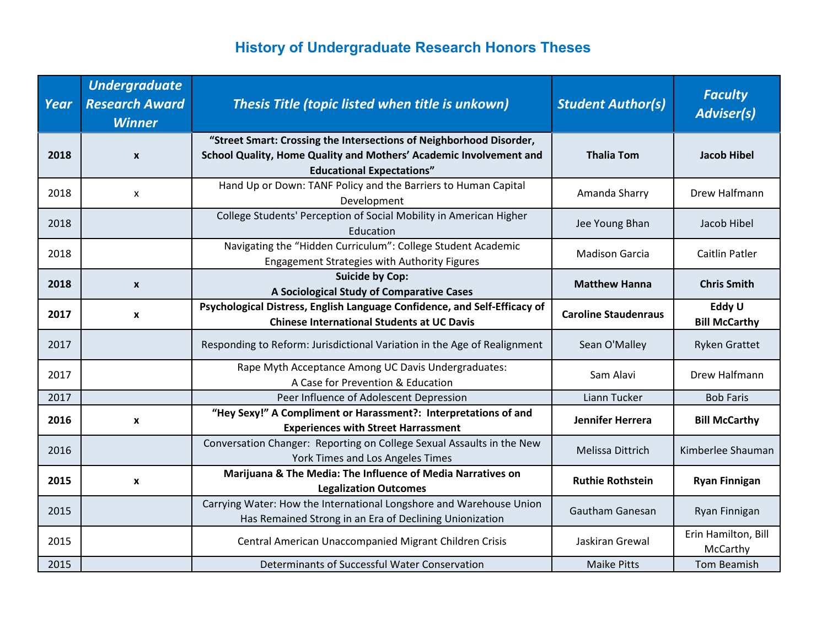| Year | <b>Undergraduate</b><br><b>Research Award</b><br><b>Winner</b> | Thesis Title (topic listed when title is unkown)                                                                                                                              | <b>Student Author(s)</b>    | <b>Faculty</b><br><b>Adviser(s)</b> |
|------|----------------------------------------------------------------|-------------------------------------------------------------------------------------------------------------------------------------------------------------------------------|-----------------------------|-------------------------------------|
| 2018 | $\boldsymbol{x}$                                               | "Street Smart: Crossing the Intersections of Neighborhood Disorder,<br>School Quality, Home Quality and Mothers' Academic Involvement and<br><b>Educational Expectations"</b> | <b>Thalia Tom</b>           | <b>Jacob Hibel</b>                  |
| 2018 | X                                                              | Hand Up or Down: TANF Policy and the Barriers to Human Capital<br>Development                                                                                                 | Amanda Sharry               | Drew Halfmann                       |
| 2018 |                                                                | College Students' Perception of Social Mobility in American Higher<br>Education                                                                                               | Jee Young Bhan              | Jacob Hibel                         |
| 2018 |                                                                | Navigating the "Hidden Curriculum": College Student Academic<br>Engagement Strategies with Authority Figures                                                                  | <b>Madison Garcia</b>       | <b>Caitlin Patler</b>               |
| 2018 | X                                                              | <b>Suicide by Cop:</b><br>A Sociological Study of Comparative Cases                                                                                                           | <b>Matthew Hanna</b>        | <b>Chris Smith</b>                  |
| 2017 | X                                                              | Psychological Distress, English Language Confidence, and Self-Efficacy of<br><b>Chinese International Students at UC Davis</b>                                                | <b>Caroline Staudenraus</b> | Eddy U<br><b>Bill McCarthy</b>      |
| 2017 |                                                                | Responding to Reform: Jurisdictional Variation in the Age of Realignment                                                                                                      | Sean O'Malley               | <b>Ryken Grattet</b>                |
| 2017 |                                                                | Rape Myth Acceptance Among UC Davis Undergraduates:<br>A Case for Prevention & Education                                                                                      | Sam Alavi                   | Drew Halfmann                       |
| 2017 |                                                                | Peer Influence of Adolescent Depression                                                                                                                                       | Liann Tucker                | <b>Bob Faris</b>                    |
| 2016 | X                                                              | "Hey Sexy!" A Compliment or Harassment?: Interpretations of and<br><b>Experiences with Street Harrassment</b>                                                                 | Jennifer Herrera            | <b>Bill McCarthy</b>                |
| 2016 |                                                                | Conversation Changer: Reporting on College Sexual Assaults in the New<br>York Times and Los Angeles Times                                                                     | Melissa Dittrich            | Kimberlee Shauman                   |
| 2015 | X                                                              | Marijuana & The Media: The Influence of Media Narratives on<br><b>Legalization Outcomes</b>                                                                                   | <b>Ruthie Rothstein</b>     | <b>Ryan Finnigan</b>                |
| 2015 |                                                                | Carrying Water: How the International Longshore and Warehouse Union<br>Has Remained Strong in an Era of Declining Unionization                                                | <b>Gautham Ganesan</b>      | Ryan Finnigan                       |
| 2015 |                                                                | Central American Unaccompanied Migrant Children Crisis                                                                                                                        | Jaskiran Grewal             | Erin Hamilton, Bill<br>McCarthy     |
| 2015 |                                                                | Determinants of Successful Water Conservation                                                                                                                                 | <b>Maike Pitts</b>          | Tom Beamish                         |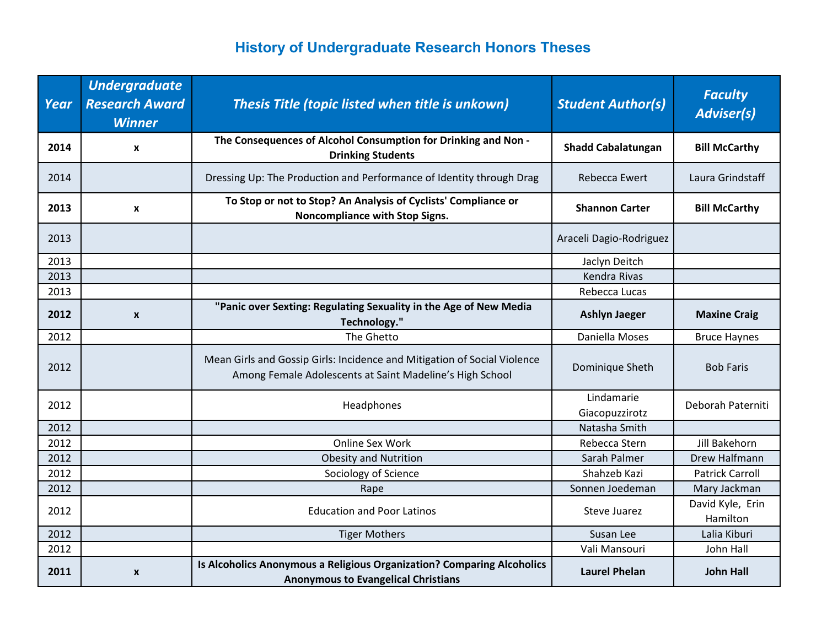| Year | <b>Undergraduate</b><br><b>Research Award</b><br><b>Winner</b> | Thesis Title (topic listed when title is unkown)                                                                                     | <b>Student Author(s)</b>     | <b>Faculty</b><br><b>Adviser(s)</b> |
|------|----------------------------------------------------------------|--------------------------------------------------------------------------------------------------------------------------------------|------------------------------|-------------------------------------|
| 2014 | x                                                              | The Consequences of Alcohol Consumption for Drinking and Non -<br><b>Drinking Students</b>                                           | <b>Shadd Cabalatungan</b>    | <b>Bill McCarthy</b>                |
| 2014 |                                                                | Dressing Up: The Production and Performance of Identity through Drag                                                                 | Rebecca Ewert                | Laura Grindstaff                    |
| 2013 | x                                                              | To Stop or not to Stop? An Analysis of Cyclists' Compliance or<br>Noncompliance with Stop Signs.                                     | <b>Shannon Carter</b>        | <b>Bill McCarthy</b>                |
| 2013 |                                                                |                                                                                                                                      | Araceli Dagio-Rodriguez      |                                     |
| 2013 |                                                                |                                                                                                                                      | Jaclyn Deitch                |                                     |
| 2013 |                                                                |                                                                                                                                      | Kendra Rivas                 |                                     |
| 2013 |                                                                |                                                                                                                                      | Rebecca Lucas                |                                     |
| 2012 | $\pmb{\chi}$                                                   | "Panic over Sexting: Regulating Sexuality in the Age of New Media<br>Technology."                                                    | <b>Ashlyn Jaeger</b>         | <b>Maxine Craig</b>                 |
| 2012 |                                                                | The Ghetto                                                                                                                           | Daniella Moses               | <b>Bruce Haynes</b>                 |
| 2012 |                                                                | Mean Girls and Gossip Girls: Incidence and Mitigation of Social Violence<br>Among Female Adolescents at Saint Madeline's High School | Dominique Sheth              | <b>Bob Faris</b>                    |
| 2012 |                                                                | Headphones                                                                                                                           | Lindamarie<br>Giacopuzzirotz | Deborah Paterniti                   |
| 2012 |                                                                |                                                                                                                                      | Natasha Smith                |                                     |
| 2012 |                                                                | Online Sex Work                                                                                                                      | Rebecca Stern                | Jill Bakehorn                       |
| 2012 |                                                                | <b>Obesity and Nutrition</b>                                                                                                         | Sarah Palmer                 | Drew Halfmann                       |
| 2012 |                                                                | Sociology of Science                                                                                                                 | Shahzeb Kazi                 | <b>Patrick Carroll</b>              |
| 2012 |                                                                | Rape                                                                                                                                 | Sonnen Joedeman              | Mary Jackman                        |
| 2012 |                                                                | <b>Education and Poor Latinos</b>                                                                                                    | Steve Juarez                 | David Kyle, Erin<br>Hamilton        |
| 2012 |                                                                | <b>Tiger Mothers</b>                                                                                                                 | Susan Lee                    | Lalia Kiburi                        |
| 2012 |                                                                |                                                                                                                                      | Vali Mansouri                | John Hall                           |
| 2011 | $\boldsymbol{x}$                                               | Is Alcoholics Anonymous a Religious Organization? Comparing Alcoholics<br><b>Anonymous to Evangelical Christians</b>                 | <b>Laurel Phelan</b>         | <b>John Hall</b>                    |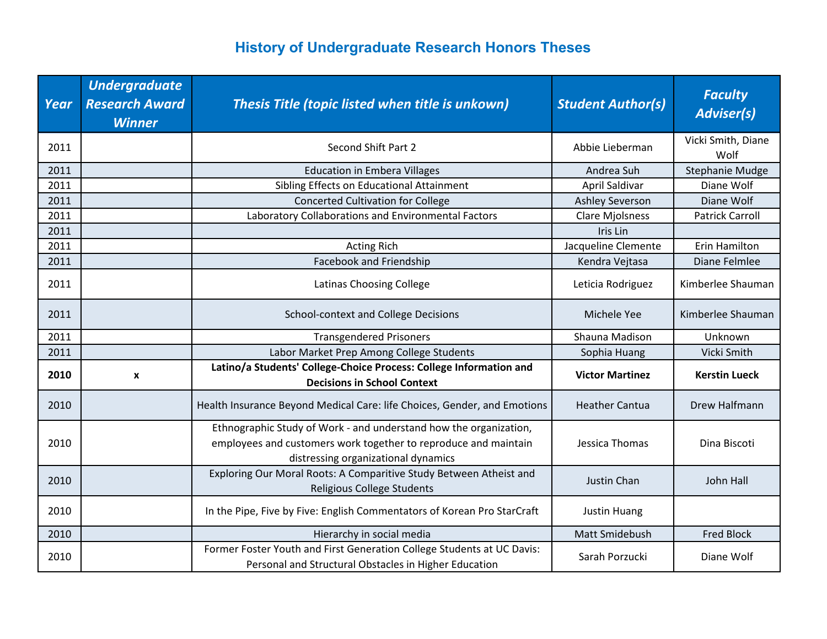| Year | <b>Undergraduate</b><br><b>Research Award</b><br><b>Winner</b> | Thesis Title (topic listed when title is unkown)                                                                                                                            | <b>Student Author(s)</b> | <b>Faculty</b><br><b>Adviser(s)</b> |
|------|----------------------------------------------------------------|-----------------------------------------------------------------------------------------------------------------------------------------------------------------------------|--------------------------|-------------------------------------|
| 2011 |                                                                | Second Shift Part 2                                                                                                                                                         | Abbie Lieberman          | Vicki Smith, Diane<br>Wolf          |
| 2011 |                                                                | <b>Education in Embera Villages</b>                                                                                                                                         | Andrea Suh               | <b>Stephanie Mudge</b>              |
| 2011 |                                                                | Sibling Effects on Educational Attainment                                                                                                                                   | April Saldivar           | Diane Wolf                          |
| 2011 |                                                                | <b>Concerted Cultivation for College</b>                                                                                                                                    | <b>Ashley Severson</b>   | Diane Wolf                          |
| 2011 |                                                                | Laboratory Collaborations and Environmental Factors                                                                                                                         | <b>Clare Mjolsness</b>   | <b>Patrick Carroll</b>              |
| 2011 |                                                                |                                                                                                                                                                             | Iris Lin                 |                                     |
| 2011 |                                                                | <b>Acting Rich</b>                                                                                                                                                          | Jacqueline Clemente      | Erin Hamilton                       |
| 2011 |                                                                | Facebook and Friendship                                                                                                                                                     | Kendra Vejtasa           | Diane Felmlee                       |
| 2011 |                                                                | <b>Latinas Choosing College</b>                                                                                                                                             | Leticia Rodriguez        | Kimberlee Shauman                   |
| 2011 |                                                                | School-context and College Decisions                                                                                                                                        | Michele Yee              | Kimberlee Shauman                   |
| 2011 |                                                                | <b>Transgendered Prisoners</b>                                                                                                                                              | Shauna Madison           | Unknown                             |
| 2011 |                                                                | Labor Market Prep Among College Students                                                                                                                                    | Sophia Huang             | Vicki Smith                         |
| 2010 | X                                                              | Latino/a Students' College-Choice Process: College Information and<br><b>Decisions in School Context</b>                                                                    | <b>Victor Martinez</b>   | <b>Kerstin Lueck</b>                |
| 2010 |                                                                | Health Insurance Beyond Medical Care: life Choices, Gender, and Emotions                                                                                                    | <b>Heather Cantua</b>    | Drew Halfmann                       |
| 2010 |                                                                | Ethnographic Study of Work - and understand how the organization,<br>employees and customers work together to reproduce and maintain<br>distressing organizational dynamics | Jessica Thomas           | Dina Biscoti                        |
| 2010 |                                                                | Exploring Our Moral Roots: A Comparitive Study Between Atheist and<br>Religious College Students                                                                            | Justin Chan              | John Hall                           |
| 2010 |                                                                | In the Pipe, Five by Five: English Commentators of Korean Pro StarCraft                                                                                                     | <b>Justin Huang</b>      |                                     |
| 2010 |                                                                | Hierarchy in social media                                                                                                                                                   | Matt Smidebush           | <b>Fred Block</b>                   |
| 2010 |                                                                | Former Foster Youth and First Generation College Students at UC Davis:<br>Personal and Structural Obstacles in Higher Education                                             | Sarah Porzucki           | Diane Wolf                          |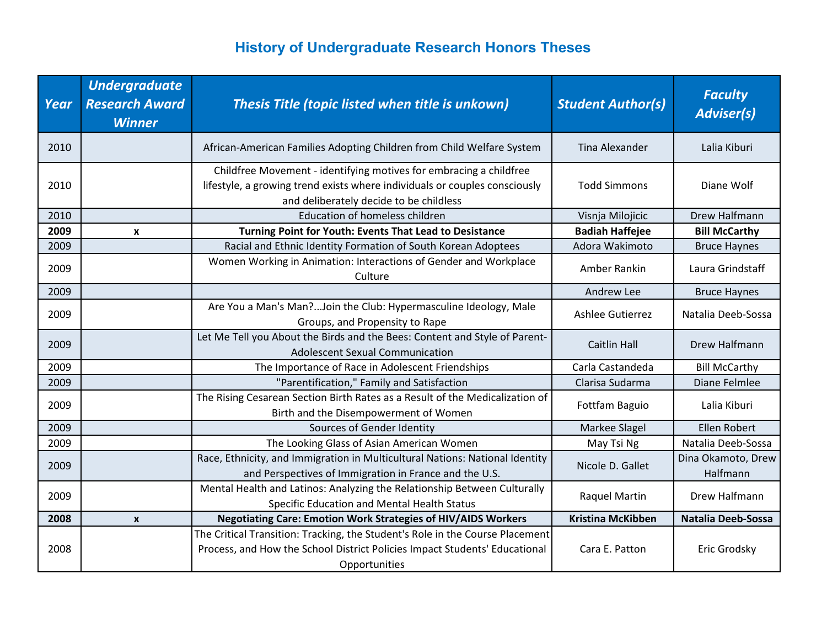| Year | <b>Undergraduate</b><br><b>Research Award</b><br><b>Winner</b> | Thesis Title (topic listed when title is unkown)                                                                                                                                            | <b>Student Author(s)</b> | <b>Faculty</b><br><b>Adviser(s)</b> |
|------|----------------------------------------------------------------|---------------------------------------------------------------------------------------------------------------------------------------------------------------------------------------------|--------------------------|-------------------------------------|
| 2010 |                                                                | African-American Families Adopting Children from Child Welfare System                                                                                                                       | Tina Alexander           | Lalia Kiburi                        |
| 2010 |                                                                | Childfree Movement - identifying motives for embracing a childfree<br>lifestyle, a growing trend exists where individuals or couples consciously<br>and deliberately decide to be childless | <b>Todd Simmons</b>      | Diane Wolf                          |
| 2010 |                                                                | <b>Education of homeless children</b>                                                                                                                                                       | Visnja Milojicic         | Drew Halfmann                       |
| 2009 | $\mathbf{x}$                                                   | Turning Point for Youth: Events That Lead to Desistance                                                                                                                                     | <b>Badiah Haffejee</b>   | <b>Bill McCarthy</b>                |
| 2009 |                                                                | Racial and Ethnic Identity Formation of South Korean Adoptees                                                                                                                               | Adora Wakimoto           | <b>Bruce Haynes</b>                 |
| 2009 |                                                                | Women Working in Animation: Interactions of Gender and Workplace<br>Culture                                                                                                                 | Amber Rankin             | Laura Grindstaff                    |
| 2009 |                                                                |                                                                                                                                                                                             | Andrew Lee               | <b>Bruce Haynes</b>                 |
| 2009 |                                                                | Are You a Man's Man?Join the Club: Hypermasculine Ideology, Male<br>Groups, and Propensity to Rape                                                                                          | Ashlee Gutierrez         | Natalia Deeb-Sossa                  |
| 2009 |                                                                | Let Me Tell you About the Birds and the Bees: Content and Style of Parent-<br><b>Adolescent Sexual Communication</b>                                                                        | <b>Caitlin Hall</b>      | Drew Halfmann                       |
| 2009 |                                                                | The Importance of Race in Adolescent Friendships                                                                                                                                            | Carla Castandeda         | <b>Bill McCarthy</b>                |
| 2009 |                                                                | "Parentification," Family and Satisfaction                                                                                                                                                  | Clarisa Sudarma          | Diane Felmlee                       |
| 2009 |                                                                | The Rising Cesarean Section Birth Rates as a Result of the Medicalization of<br>Birth and the Disempowerment of Women                                                                       | Fottfam Baguio           | Lalia Kiburi                        |
| 2009 |                                                                | Sources of Gender Identity                                                                                                                                                                  | Markee Slagel            | <b>Ellen Robert</b>                 |
| 2009 |                                                                | The Looking Glass of Asian American Women                                                                                                                                                   | May Tsi Ng               | Natalia Deeb-Sossa                  |
| 2009 |                                                                | Race, Ethnicity, and Immigration in Multicultural Nations: National Identity<br>and Perspectives of Immigration in France and the U.S.                                                      | Nicole D. Gallet         | Dina Okamoto, Drew<br>Halfmann      |
| 2009 |                                                                | Mental Health and Latinos: Analyzing the Relationship Between Culturally<br>Specific Education and Mental Health Status                                                                     | Raquel Martin            | Drew Halfmann                       |
| 2008 | $\boldsymbol{x}$                                               | <b>Negotiating Care: Emotion Work Strategies of HIV/AIDS Workers</b>                                                                                                                        | <b>Kristina McKibben</b> | <b>Natalia Deeb-Sossa</b>           |
| 2008 |                                                                | The Critical Transition: Tracking, the Student's Role in the Course Placement<br>Process, and How the School District Policies Impact Students' Educational<br>Opportunities                | Cara E. Patton           | Eric Grodsky                        |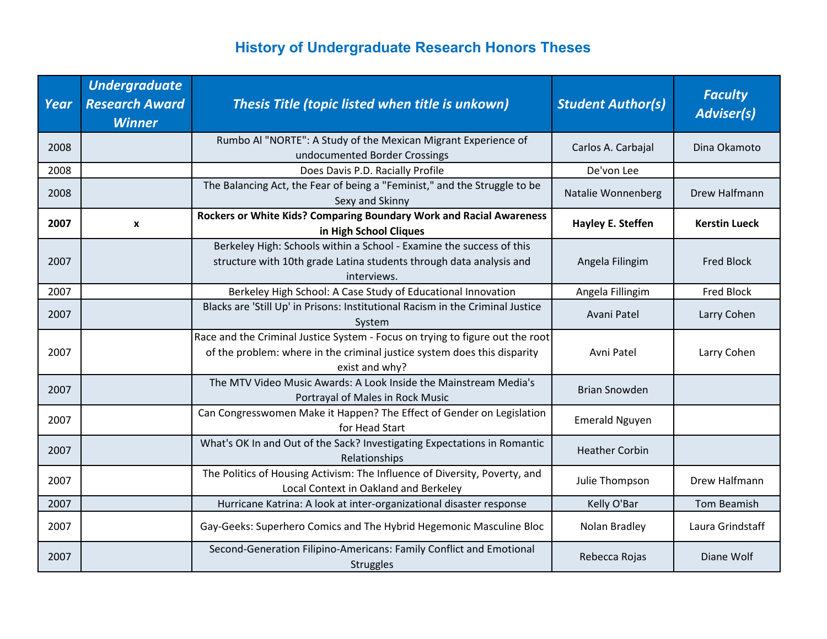| Year | <b>Undergraduate</b><br><b>Research Award</b><br><b>Winner</b> | Thesis Title (topic listed when title is unkown)                                                                                                                            | <b>Student Author(s)</b> | <b>Faculty</b><br><b>Adviser(s)</b> |
|------|----------------------------------------------------------------|-----------------------------------------------------------------------------------------------------------------------------------------------------------------------------|--------------------------|-------------------------------------|
| 2008 |                                                                | Rumbo Al "NORTE": A Study of the Mexican Migrant Experience of<br>undocumented Border Crossings                                                                             | Carlos A. Carbajal       | Dina Okamoto                        |
| 2008 |                                                                | Does Davis P.D. Racially Profile                                                                                                                                            | De'von Lee               |                                     |
| 2008 |                                                                | The Balancing Act, the Fear of being a "Feminist," and the Struggle to be<br>Sexy and Skinny                                                                                | Natalie Wonnenberg       | Drew Halfmann                       |
| 2007 | X                                                              | Rockers or White Kids? Comparing Boundary Work and Racial Awareness<br>in High School Cliques                                                                               | Hayley E. Steffen        | <b>Kerstin Lueck</b>                |
| 2007 |                                                                | Berkeley High: Schools within a School - Examine the success of this<br>structure with 10th grade Latina students through data analysis and<br>interviews.                  | Angela Filingim          | <b>Fred Block</b>                   |
| 2007 |                                                                | Berkeley High School: A Case Study of Educational Innovation                                                                                                                | Angela Fillingim         | <b>Fred Block</b>                   |
| 2007 |                                                                | Blacks are 'Still Up' in Prisons: Institutional Racism in the Criminal Justice<br>System                                                                                    | Avani Patel              | Larry Cohen                         |
| 2007 |                                                                | Race and the Criminal Justice System - Focus on trying to figure out the root<br>of the problem: where in the criminal justice system does this disparity<br>exist and why? | Avni Patel               | Larry Cohen                         |
| 2007 |                                                                | The MTV Video Music Awards: A Look Inside the Mainstream Media's<br>Portrayal of Males in Rock Music                                                                        | <b>Brian Snowden</b>     |                                     |
| 2007 |                                                                | Can Congresswomen Make it Happen? The Effect of Gender on Legislation<br>for Head Start                                                                                     | <b>Emerald Nguyen</b>    |                                     |
| 2007 |                                                                | What's OK In and Out of the Sack? Investigating Expectations in Romantic<br>Relationships                                                                                   | <b>Heather Corbin</b>    |                                     |
| 2007 |                                                                | The Politics of Housing Activism: The Influence of Diversity, Poverty, and<br>Local Context in Oakland and Berkeley                                                         | Julie Thompson           | Drew Halfmann                       |
| 2007 |                                                                | Hurricane Katrina: A look at inter-organizational disaster response                                                                                                         | Kelly O'Bar              | Tom Beamish                         |
| 2007 |                                                                | Gay-Geeks: Superhero Comics and The Hybrid Hegemonic Masculine Bloc                                                                                                         | Nolan Bradley            | Laura Grindstaff                    |
| 2007 |                                                                | Second-Generation Filipino-Americans: Family Conflict and Emotional<br><b>Struggles</b>                                                                                     | Rebecca Rojas            | Diane Wolf                          |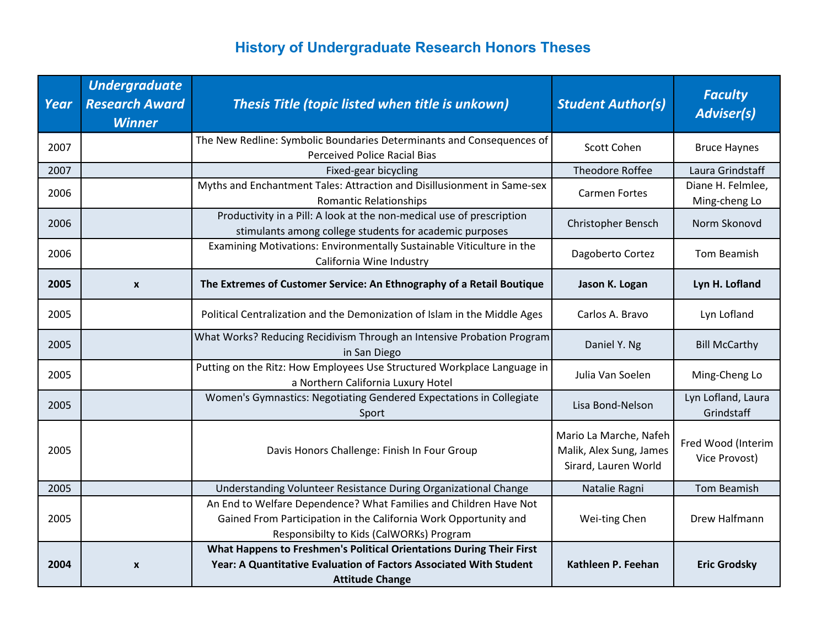| Year | <b>Undergraduate</b><br><b>Research Award</b><br><b>Winner</b> | Thesis Title (topic listed when title is unkown)                                                                                                                                  | <b>Student Author(s)</b>                                                  | <b>Faculty</b><br><b>Adviser(s)</b> |
|------|----------------------------------------------------------------|-----------------------------------------------------------------------------------------------------------------------------------------------------------------------------------|---------------------------------------------------------------------------|-------------------------------------|
| 2007 |                                                                | The New Redline: Symbolic Boundaries Determinants and Consequences of<br><b>Perceived Police Racial Bias</b>                                                                      | Scott Cohen                                                               | <b>Bruce Haynes</b>                 |
| 2007 |                                                                | Fixed-gear bicycling                                                                                                                                                              | <b>Theodore Roffee</b>                                                    | Laura Grindstaff                    |
| 2006 |                                                                | Myths and Enchantment Tales: Attraction and Disillusionment in Same-sex<br><b>Romantic Relationships</b>                                                                          | <b>Carmen Fortes</b>                                                      | Diane H. Felmlee,<br>Ming-cheng Lo  |
| 2006 |                                                                | Productivity in a Pill: A look at the non-medical use of prescription<br>stimulants among college students for academic purposes                                                  | Christopher Bensch                                                        | Norm Skonovd                        |
| 2006 |                                                                | Examining Motivations: Environmentally Sustainable Viticulture in the<br>California Wine Industry                                                                                 | Dagoberto Cortez                                                          | Tom Beamish                         |
| 2005 | $\boldsymbol{x}$                                               | The Extremes of Customer Service: An Ethnography of a Retail Boutique                                                                                                             | Jason K. Logan                                                            | Lyn H. Lofland                      |
| 2005 |                                                                | Political Centralization and the Demonization of Islam in the Middle Ages                                                                                                         | Carlos A. Bravo                                                           | Lyn Lofland                         |
| 2005 |                                                                | What Works? Reducing Recidivism Through an Intensive Probation Program<br>in San Diego                                                                                            | Daniel Y. Ng                                                              | <b>Bill McCarthy</b>                |
| 2005 |                                                                | Putting on the Ritz: How Employees Use Structured Workplace Language in<br>a Northern California Luxury Hotel                                                                     | Julia Van Soelen                                                          | Ming-Cheng Lo                       |
| 2005 |                                                                | Women's Gymnastics: Negotiating Gendered Expectations in Collegiate<br>Sport                                                                                                      | Lisa Bond-Nelson                                                          | Lyn Lofland, Laura<br>Grindstaff    |
| 2005 |                                                                | Davis Honors Challenge: Finish In Four Group                                                                                                                                      | Mario La Marche, Nafeh<br>Malik, Alex Sung, James<br>Sirard, Lauren World | Fred Wood (Interim<br>Vice Provost) |
| 2005 |                                                                | Understanding Volunteer Resistance During Organizational Change                                                                                                                   | Natalie Ragni                                                             | <b>Tom Beamish</b>                  |
| 2005 |                                                                | An End to Welfare Dependence? What Families and Children Have Not<br>Gained From Participation in the California Work Opportunity and<br>Responsibilty to Kids (CalWORKs) Program | Wei-ting Chen                                                             | Drew Halfmann                       |
|      |                                                                | What Happens to Freshmen's Political Orientations During Their First                                                                                                              |                                                                           |                                     |
| 2004 | $\boldsymbol{x}$                                               | Year: A Quantitative Evaluation of Factors Associated With Student                                                                                                                | Kathleen P. Feehan                                                        | <b>Eric Grodsky</b>                 |
|      |                                                                | <b>Attitude Change</b>                                                                                                                                                            |                                                                           |                                     |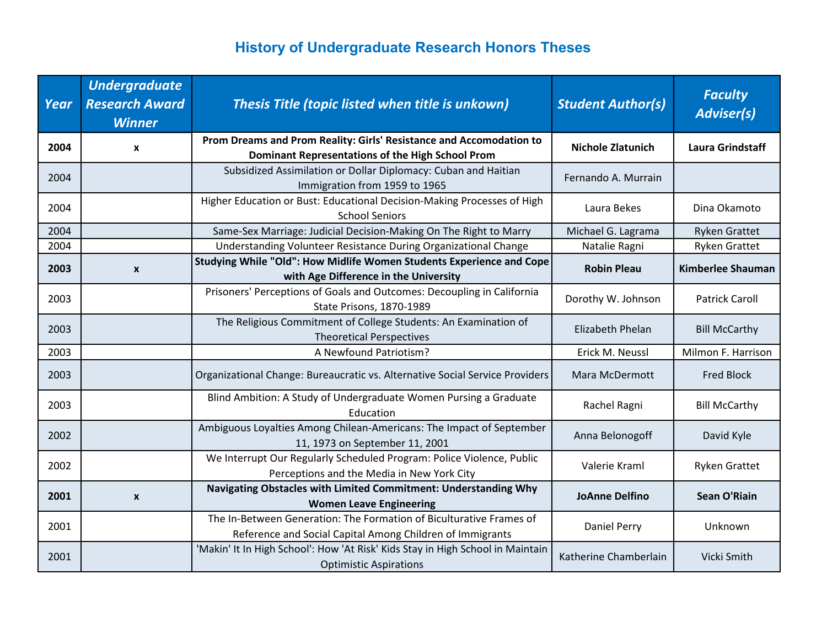| Year | <b>Undergraduate</b><br><b>Research Award</b><br><b>Winner</b> | Thesis Title (topic listed when title is unkown)                                                                                 | <b>Student Author(s)</b> | <b>Faculty</b><br><b>Adviser(s)</b> |
|------|----------------------------------------------------------------|----------------------------------------------------------------------------------------------------------------------------------|--------------------------|-------------------------------------|
| 2004 | X                                                              | Prom Dreams and Prom Reality: Girls' Resistance and Accomodation to<br>Dominant Representations of the High School Prom          | <b>Nichole Zlatunich</b> | <b>Laura Grindstaff</b>             |
| 2004 |                                                                | Subsidized Assimilation or Dollar Diplomacy: Cuban and Haitian<br>Immigration from 1959 to 1965                                  | Fernando A. Murrain      |                                     |
| 2004 |                                                                | Higher Education or Bust: Educational Decision-Making Processes of High<br><b>School Seniors</b>                                 | Laura Bekes              | Dina Okamoto                        |
| 2004 |                                                                | Same-Sex Marriage: Judicial Decision-Making On The Right to Marry                                                                | Michael G. Lagrama       | <b>Ryken Grattet</b>                |
| 2004 |                                                                | Understanding Volunteer Resistance During Organizational Change                                                                  | Natalie Ragni            | <b>Ryken Grattet</b>                |
| 2003 | X                                                              | Studying While "Old": How Midlife Women Students Experience and Cope<br>with Age Difference in the University                    | <b>Robin Pleau</b>       | <b>Kimberlee Shauman</b>            |
| 2003 |                                                                | Prisoners' Perceptions of Goals and Outcomes: Decoupling in California<br>State Prisons, 1870-1989                               | Dorothy W. Johnson       | <b>Patrick Caroll</b>               |
| 2003 |                                                                | The Religious Commitment of College Students: An Examination of<br><b>Theoretical Perspectives</b>                               | Elizabeth Phelan         | <b>Bill McCarthy</b>                |
| 2003 |                                                                | A Newfound Patriotism?                                                                                                           | Erick M. Neussl          | Milmon F. Harrison                  |
| 2003 |                                                                | Organizational Change: Bureaucratic vs. Alternative Social Service Providers                                                     | Mara McDermott           | <b>Fred Block</b>                   |
| 2003 |                                                                | Blind Ambition: A Study of Undergraduate Women Pursing a Graduate<br>Education                                                   | Rachel Ragni             | <b>Bill McCarthy</b>                |
| 2002 |                                                                | Ambiguous Loyalties Among Chilean-Americans: The Impact of September<br>11, 1973 on September 11, 2001                           | Anna Belonogoff          | David Kyle                          |
| 2002 |                                                                | We Interrupt Our Regularly Scheduled Program: Police Violence, Public<br>Perceptions and the Media in New York City              | Valerie Kraml            | <b>Ryken Grattet</b>                |
| 2001 | X                                                              | Navigating Obstacles with Limited Commitment: Understanding Why<br><b>Women Leave Engineering</b>                                | <b>JoAnne Delfino</b>    | <b>Sean O'Riain</b>                 |
| 2001 |                                                                | The In-Between Generation: The Formation of Biculturative Frames of<br>Reference and Social Capital Among Children of Immigrants | <b>Daniel Perry</b>      | Unknown                             |
| 2001 |                                                                | 'Makin' It In High School': How 'At Risk' Kids Stay in High School in Maintain<br><b>Optimistic Aspirations</b>                  | Katherine Chamberlain    | Vicki Smith                         |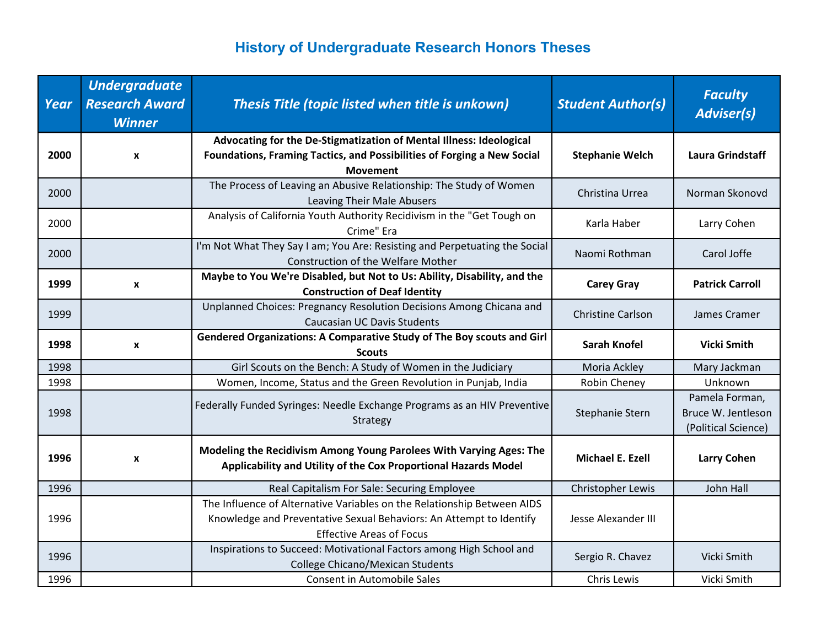| Year | <b>Undergraduate</b><br><b>Research Award</b><br><b>Winner</b> | Thesis Title (topic listed when title is unkown)                                                                                                                                  | <b>Student Author(s)</b> | <b>Faculty</b><br><b>Adviser(s)</b>                         |
|------|----------------------------------------------------------------|-----------------------------------------------------------------------------------------------------------------------------------------------------------------------------------|--------------------------|-------------------------------------------------------------|
| 2000 | X                                                              | Advocating for the De-Stigmatization of Mental Illness: Ideological<br>Foundations, Framing Tactics, and Possibilities of Forging a New Social<br><b>Movement</b>                 | <b>Stephanie Welch</b>   | <b>Laura Grindstaff</b>                                     |
| 2000 |                                                                | The Process of Leaving an Abusive Relationship: The Study of Women<br>Leaving Their Male Abusers                                                                                  | Christina Urrea          | Norman Skonovd                                              |
| 2000 |                                                                | Analysis of California Youth Authority Recidivism in the "Get Tough on<br>Crime" Era                                                                                              | Karla Haber              | Larry Cohen                                                 |
| 2000 |                                                                | I'm Not What They Say I am; You Are: Resisting and Perpetuating the Social<br><b>Construction of the Welfare Mother</b>                                                           | Naomi Rothman            | Carol Joffe                                                 |
| 1999 | X                                                              | Maybe to You We're Disabled, but Not to Us: Ability, Disability, and the<br><b>Construction of Deaf Identity</b>                                                                  | <b>Carey Gray</b>        | <b>Patrick Carroll</b>                                      |
| 1999 |                                                                | Unplanned Choices: Pregnancy Resolution Decisions Among Chicana and<br><b>Caucasian UC Davis Students</b>                                                                         | <b>Christine Carlson</b> | James Cramer                                                |
| 1998 | X                                                              | Gendered Organizations: A Comparative Study of The Boy scouts and Girl<br><b>Scouts</b>                                                                                           | <b>Sarah Knofel</b>      | <b>Vicki Smith</b>                                          |
| 1998 |                                                                | Girl Scouts on the Bench: A Study of Women in the Judiciary                                                                                                                       | Moria Ackley             | Mary Jackman                                                |
| 1998 |                                                                | Women, Income, Status and the Green Revolution in Punjab, India                                                                                                                   | Robin Cheney             | Unknown                                                     |
| 1998 |                                                                | Federally Funded Syringes: Needle Exchange Programs as an HIV Preventive<br>Strategy                                                                                              | Stephanie Stern          | Pamela Forman,<br>Bruce W. Jentleson<br>(Political Science) |
| 1996 | X                                                              | Modeling the Recidivism Among Young Parolees With Varying Ages: The<br>Applicability and Utility of the Cox Proportional Hazards Model                                            | Michael E. Ezell         | <b>Larry Cohen</b>                                          |
| 1996 |                                                                | Real Capitalism For Sale: Securing Employee                                                                                                                                       | Christopher Lewis        | John Hall                                                   |
| 1996 |                                                                | The Influence of Alternative Variables on the Relationship Between AIDS<br>Knowledge and Preventative Sexual Behaviors: An Attempt to Identify<br><b>Effective Areas of Focus</b> | Jesse Alexander III      |                                                             |
| 1996 |                                                                | Inspirations to Succeed: Motivational Factors among High School and<br><b>College Chicano/Mexican Students</b>                                                                    | Sergio R. Chavez         | Vicki Smith                                                 |
| 1996 |                                                                | <b>Consent in Automobile Sales</b>                                                                                                                                                | Chris Lewis              | Vicki Smith                                                 |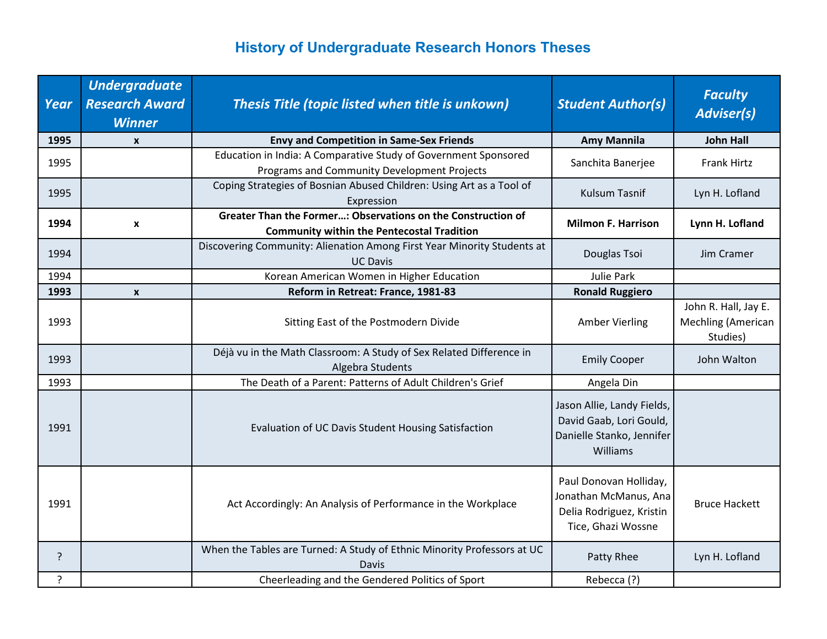| Year           | <b>Undergraduate</b><br><b>Research Award</b><br><b>Winner</b> | Thesis Title (topic listed when title is unkown)                                                                  | <b>Student Author(s)</b>                                                                          | <b>Faculty</b><br><b>Adviser(s)</b>                           |
|----------------|----------------------------------------------------------------|-------------------------------------------------------------------------------------------------------------------|---------------------------------------------------------------------------------------------------|---------------------------------------------------------------|
| 1995           | $\boldsymbol{x}$                                               | <b>Envy and Competition in Same-Sex Friends</b>                                                                   | <b>Amy Mannila</b>                                                                                | <b>John Hall</b>                                              |
| 1995           |                                                                | Education in India: A Comparative Study of Government Sponsored<br>Programs and Community Development Projects    | Sanchita Banerjee                                                                                 | <b>Frank Hirtz</b>                                            |
| 1995           |                                                                | Coping Strategies of Bosnian Abused Children: Using Art as a Tool of<br>Expression                                | <b>Kulsum Tasnif</b>                                                                              | Lyn H. Lofland                                                |
| 1994           | $\boldsymbol{\mathsf{x}}$                                      | Greater Than the Former: Observations on the Construction of<br><b>Community within the Pentecostal Tradition</b> | <b>Milmon F. Harrison</b>                                                                         | Lynn H. Lofland                                               |
| 1994           |                                                                | Discovering Community: Alienation Among First Year Minority Students at<br><b>UC Davis</b>                        | Douglas Tsoi                                                                                      | Jim Cramer                                                    |
| 1994           |                                                                | Korean American Women in Higher Education                                                                         | <b>Julie Park</b>                                                                                 |                                                               |
| 1993           | $\boldsymbol{x}$                                               | Reform in Retreat: France, 1981-83                                                                                | <b>Ronald Ruggiero</b>                                                                            |                                                               |
| 1993           |                                                                | Sitting East of the Postmodern Divide                                                                             | <b>Amber Vierling</b>                                                                             | John R. Hall, Jay E.<br><b>Mechling (American</b><br>Studies) |
| 1993           |                                                                | Déjà vu in the Math Classroom: A Study of Sex Related Difference in<br>Algebra Students                           | <b>Emily Cooper</b>                                                                               | John Walton                                                   |
| 1993           |                                                                | The Death of a Parent: Patterns of Adult Children's Grief                                                         | Angela Din                                                                                        |                                                               |
| 1991           |                                                                | Evaluation of UC Davis Student Housing Satisfaction                                                               | Jason Allie, Landy Fields,<br>David Gaab, Lori Gould,<br>Danielle Stanko, Jennifer<br>Williams    |                                                               |
| 1991           |                                                                | Act Accordingly: An Analysis of Performance in the Workplace                                                      | Paul Donovan Holliday,<br>Jonathan McManus, Ana<br>Delia Rodriguez, Kristin<br>Tice, Ghazi Wossne | <b>Bruce Hackett</b>                                          |
| ?              |                                                                | When the Tables are Turned: A Study of Ethnic Minority Professors at UC<br>Davis                                  | Patty Rhee                                                                                        | Lyn H. Lofland                                                |
| $\overline{?}$ |                                                                | Cheerleading and the Gendered Politics of Sport                                                                   | Rebecca (?)                                                                                       |                                                               |